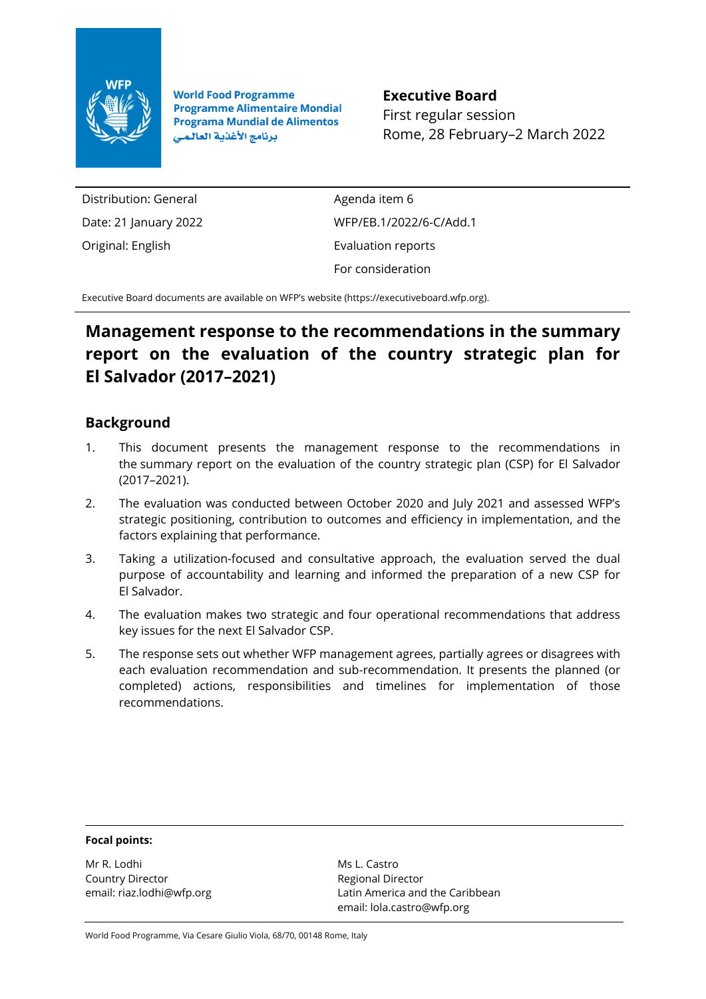

**World Food Programme Programme Alimentaire Mondial Programa Mundial de Alimentos** برنامج الأغذية العالمي

**Executive Board** First regular session Rome, 28 February–2 March 2022

Distribution: General Date: 21 January 2022 Original: English

Agenda item 6 WFP/EB.1/2022/6-C/Add.1 Evaluation reports For consideration

Executive Board documents are available on WFP's website [\(https://executiveboard.wfp.org\).](https://executiveboard.wfp.org/)

## **Management response to the recommendations in the summary report on the evaluation of the country strategic plan for El Salvador (2017–2021)**

## **Background**

- 1. This document presents the management response to the recommendations in the summary report on the evaluation of the country strategic plan (CSP) for El Salvador (2017–2021).
- 2. The evaluation was conducted between October 2020 and July 2021 and assessed WFP's strategic positioning, contribution to outcomes and efficiency in implementation, and the factors explaining that performance.
- 3. Taking a utilization-focused and consultative approach, the evaluation served the dual purpose of accountability and learning and informed the preparation of a new CSP for El Salvador.
- 4. The evaluation makes two strategic and four operational recommendations that address key issues for the next El Salvador CSP.
- 5. The response sets out whether WFP management agrees, partially agrees or disagrees with each evaluation recommendation and sub-recommendation. It presents the planned (or completed) actions, responsibilities and timelines for implementation of those recommendations.

## **Focal points:**

Mr R. Lodhi Country Director email: riaz.lodhi@wfp.org

Ms L. Castro Regional Director Latin America and the Caribbean email: lola.castro@wfp.org

World Food Programme, Via Cesare Giulio Viola, 68/70, 00148 Rome, Italy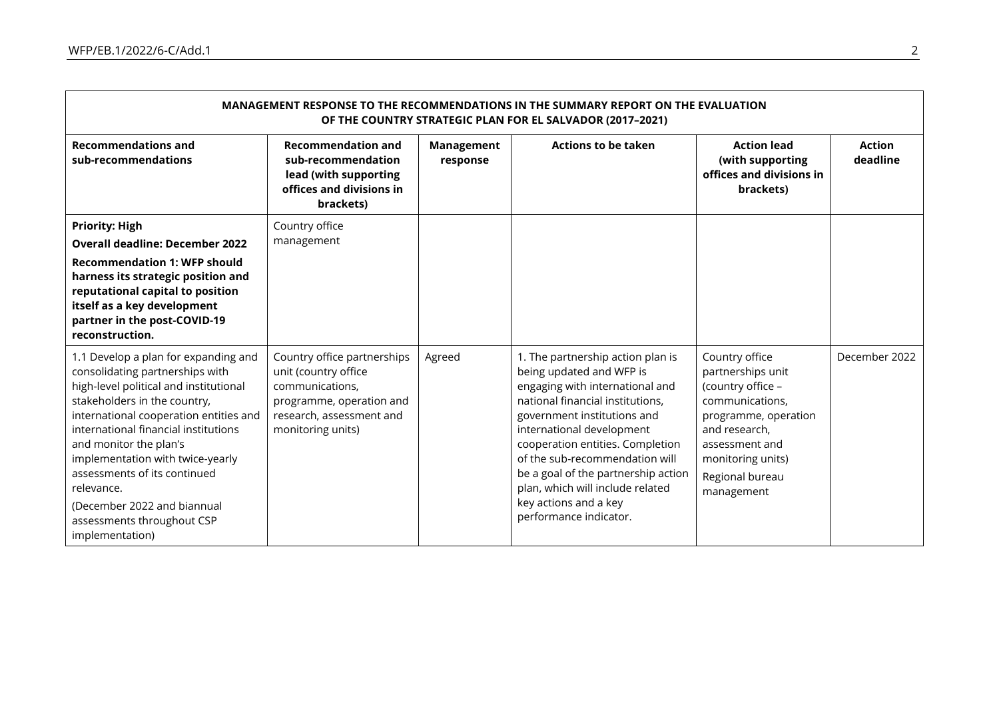| MANAGEMENT RESPONSE TO THE RECOMMENDATIONS IN THE SUMMARY REPORT ON THE EVALUATION<br>OF THE COUNTRY STRATEGIC PLAN FOR EL SALVADOR (2017-2021)                                                                                                                                                                                                                                                                                 |                                                                                                                                                     |                               |                                                                                                                                                                                                                                                                                                                                                                                                      |                                                                                                                                                                                              |                    |  |  |  |
|---------------------------------------------------------------------------------------------------------------------------------------------------------------------------------------------------------------------------------------------------------------------------------------------------------------------------------------------------------------------------------------------------------------------------------|-----------------------------------------------------------------------------------------------------------------------------------------------------|-------------------------------|------------------------------------------------------------------------------------------------------------------------------------------------------------------------------------------------------------------------------------------------------------------------------------------------------------------------------------------------------------------------------------------------------|----------------------------------------------------------------------------------------------------------------------------------------------------------------------------------------------|--------------------|--|--|--|
| <b>Recommendations and</b><br>sub-recommendations                                                                                                                                                                                                                                                                                                                                                                               | <b>Recommendation and</b><br>sub-recommendation<br>lead (with supporting<br>offices and divisions in<br>brackets)                                   | <b>Management</b><br>response | <b>Actions to be taken</b>                                                                                                                                                                                                                                                                                                                                                                           | <b>Action lead</b><br>(with supporting<br>offices and divisions in<br>brackets)                                                                                                              | Action<br>deadline |  |  |  |
| <b>Priority: High</b><br><b>Overall deadline: December 2022</b><br><b>Recommendation 1: WFP should</b><br>harness its strategic position and<br>reputational capital to position<br>itself as a key development<br>partner in the post-COVID-19<br>reconstruction.                                                                                                                                                              | Country office<br>management                                                                                                                        |                               |                                                                                                                                                                                                                                                                                                                                                                                                      |                                                                                                                                                                                              |                    |  |  |  |
| 1.1 Develop a plan for expanding and<br>consolidating partnerships with<br>high-level political and institutional<br>stakeholders in the country,<br>international cooperation entities and<br>international financial institutions<br>and monitor the plan's<br>implementation with twice-yearly<br>assessments of its continued<br>relevance.<br>(December 2022 and biannual<br>assessments throughout CSP<br>implementation) | Country office partnerships<br>unit (country office<br>communications,<br>programme, operation and<br>research, assessment and<br>monitoring units) | Agreed                        | 1. The partnership action plan is<br>being updated and WFP is<br>engaging with international and<br>national financial institutions,<br>government institutions and<br>international development<br>cooperation entities. Completion<br>of the sub-recommendation will<br>be a goal of the partnership action<br>plan, which will include related<br>key actions and a key<br>performance indicator. | Country office<br>partnerships unit<br>(country office -<br>communications,<br>programme, operation<br>and research,<br>assessment and<br>monitoring units)<br>Regional bureau<br>management | December 2022      |  |  |  |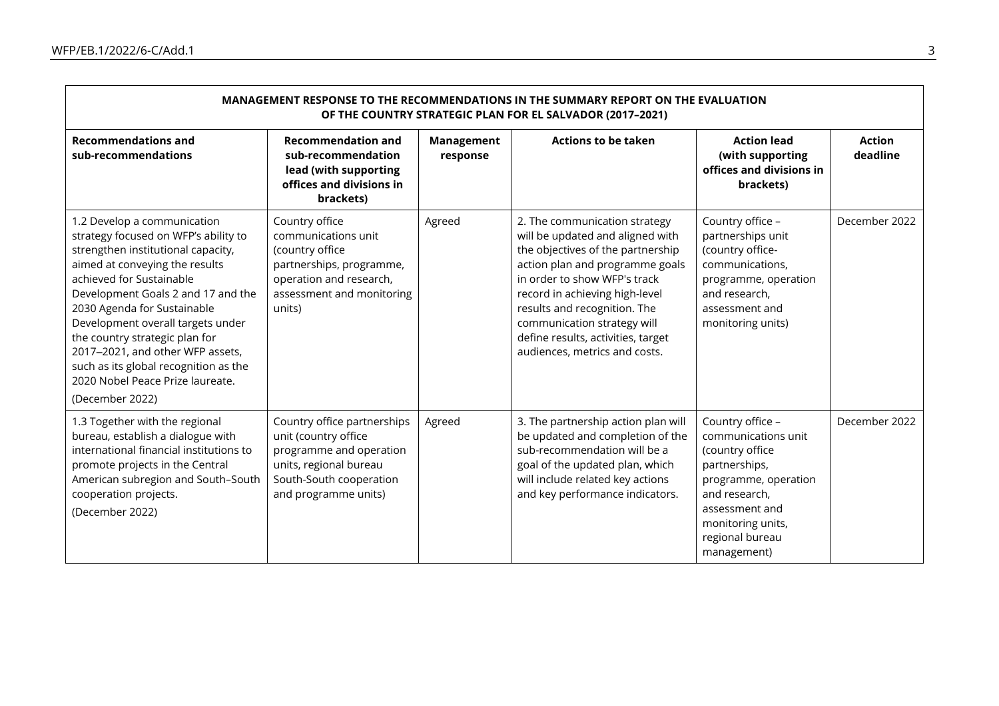| MANAGEMENT RESPONSE TO THE RECOMMENDATIONS IN THE SUMMARY REPORT ON THE EVALUATION<br>OF THE COUNTRY STRATEGIC PLAN FOR EL SALVADOR (2017-2021)                                                                                                                                                                                                                                                                                                         |                                                                                                                                                             |                        |                                                                                                                                                                                                                                                                                                                                                   |                                                                                                                                                                                               |                           |  |  |  |
|---------------------------------------------------------------------------------------------------------------------------------------------------------------------------------------------------------------------------------------------------------------------------------------------------------------------------------------------------------------------------------------------------------------------------------------------------------|-------------------------------------------------------------------------------------------------------------------------------------------------------------|------------------------|---------------------------------------------------------------------------------------------------------------------------------------------------------------------------------------------------------------------------------------------------------------------------------------------------------------------------------------------------|-----------------------------------------------------------------------------------------------------------------------------------------------------------------------------------------------|---------------------------|--|--|--|
| <b>Recommendations and</b><br>sub-recommendations                                                                                                                                                                                                                                                                                                                                                                                                       | <b>Recommendation and</b><br>sub-recommendation<br>lead (with supporting<br>offices and divisions in<br>brackets)                                           | Management<br>response | <b>Actions to be taken</b>                                                                                                                                                                                                                                                                                                                        | <b>Action lead</b><br>(with supporting<br>offices and divisions in<br>brackets)                                                                                                               | <b>Action</b><br>deadline |  |  |  |
| 1.2 Develop a communication<br>strategy focused on WFP's ability to<br>strengthen institutional capacity,<br>aimed at conveying the results<br>achieved for Sustainable<br>Development Goals 2 and 17 and the<br>2030 Agenda for Sustainable<br>Development overall targets under<br>the country strategic plan for<br>2017-2021, and other WFP assets,<br>such as its global recognition as the<br>2020 Nobel Peace Prize laureate.<br>(December 2022) | Country office<br>communications unit<br>(country office<br>partnerships, programme,<br>operation and research,<br>assessment and monitoring<br>units)      | Agreed                 | 2. The communication strategy<br>will be updated and aligned with<br>the objectives of the partnership<br>action plan and programme goals<br>in order to show WFP's track<br>record in achieving high-level<br>results and recognition. The<br>communication strategy will<br>define results, activities, target<br>audiences, metrics and costs. | Country office -<br>partnerships unit<br>(country office-<br>communications,<br>programme, operation<br>and research,<br>assessment and<br>monitoring units)                                  | December 2022             |  |  |  |
| 1.3 Together with the regional<br>bureau, establish a dialogue with<br>international financial institutions to<br>promote projects in the Central<br>American subregion and South-South<br>cooperation projects.<br>(December 2022)                                                                                                                                                                                                                     | Country office partnerships<br>unit (country office<br>programme and operation<br>units, regional bureau<br>South-South cooperation<br>and programme units) | Agreed                 | 3. The partnership action plan will<br>be updated and completion of the<br>sub-recommendation will be a<br>goal of the updated plan, which<br>will include related key actions<br>and key performance indicators.                                                                                                                                 | Country office -<br>communications unit<br>(country office<br>partnerships,<br>programme, operation<br>and research,<br>assessment and<br>monitoring units,<br>regional bureau<br>management) | December 2022             |  |  |  |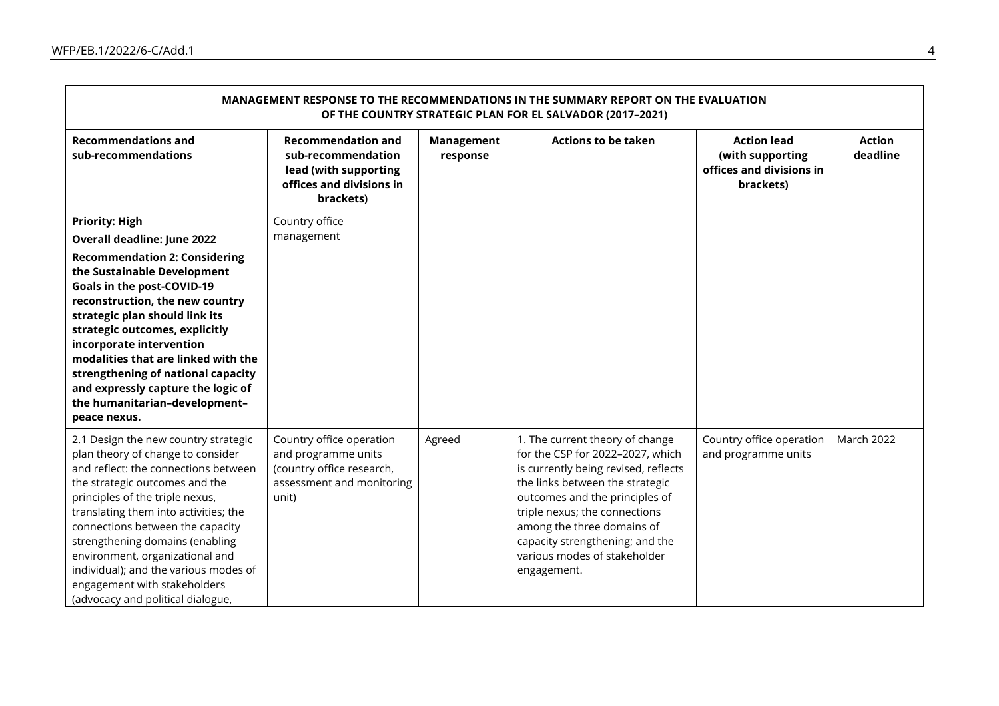| MANAGEMENT RESPONSE TO THE RECOMMENDATIONS IN THE SUMMARY REPORT ON THE EVALUATION<br>OF THE COUNTRY STRATEGIC PLAN FOR EL SALVADOR (2017-2021)                                                                                                                                                                                                                                                                                                                         |                                                                                                                    |                        |                                                                                                                                                                                                                                                                                                                                   |                                                                                 |                           |  |  |  |
|-------------------------------------------------------------------------------------------------------------------------------------------------------------------------------------------------------------------------------------------------------------------------------------------------------------------------------------------------------------------------------------------------------------------------------------------------------------------------|--------------------------------------------------------------------------------------------------------------------|------------------------|-----------------------------------------------------------------------------------------------------------------------------------------------------------------------------------------------------------------------------------------------------------------------------------------------------------------------------------|---------------------------------------------------------------------------------|---------------------------|--|--|--|
| <b>Recommendations and</b><br>sub-recommendations                                                                                                                                                                                                                                                                                                                                                                                                                       | <b>Recommendation and</b><br>sub-recommendation<br>lead (with supporting<br>offices and divisions in<br>brackets)  | Management<br>response | <b>Actions to be taken</b>                                                                                                                                                                                                                                                                                                        | <b>Action lead</b><br>(with supporting<br>offices and divisions in<br>brackets) | <b>Action</b><br>deadline |  |  |  |
| <b>Priority: High</b><br><b>Overall deadline: June 2022</b><br><b>Recommendation 2: Considering</b><br>the Sustainable Development<br>Goals in the post-COVID-19<br>reconstruction, the new country<br>strategic plan should link its<br>strategic outcomes, explicitly<br>incorporate intervention<br>modalities that are linked with the<br>strengthening of national capacity<br>and expressly capture the logic of<br>the humanitarian-development-<br>peace nexus. | Country office<br>management                                                                                       |                        |                                                                                                                                                                                                                                                                                                                                   |                                                                                 |                           |  |  |  |
| 2.1 Design the new country strategic<br>plan theory of change to consider<br>and reflect: the connections between<br>the strategic outcomes and the<br>principles of the triple nexus,<br>translating them into activities; the<br>connections between the capacity<br>strengthening domains (enabling<br>environment, organizational and<br>individual); and the various modes of<br>engagement with stakeholders<br>(advocacy and political dialogue,                 | Country office operation<br>and programme units<br>(country office research,<br>assessment and monitoring<br>unit) | Agreed                 | 1. The current theory of change<br>for the CSP for 2022-2027, which<br>is currently being revised, reflects<br>the links between the strategic<br>outcomes and the principles of<br>triple nexus; the connections<br>among the three domains of<br>capacity strengthening; and the<br>various modes of stakeholder<br>engagement. | Country office operation<br>and programme units                                 | <b>March 2022</b>         |  |  |  |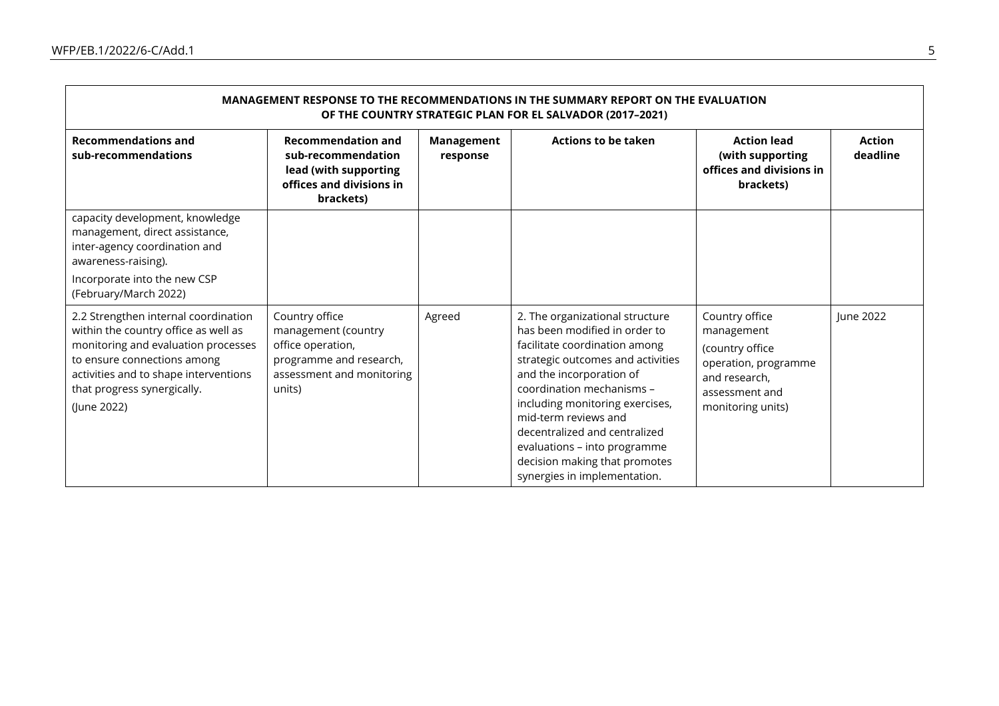| MANAGEMENT RESPONSE TO THE RECOMMENDATIONS IN THE SUMMARY REPORT ON THE EVALUATION<br>OF THE COUNTRY STRATEGIC PLAN FOR EL SALVADOR (2017-2021)                                                                                           |                                                                                                                              |                               |                                                                                                                                                                                                                                                                                                                                                                                              |                                                                                                                                 |                           |  |  |  |
|-------------------------------------------------------------------------------------------------------------------------------------------------------------------------------------------------------------------------------------------|------------------------------------------------------------------------------------------------------------------------------|-------------------------------|----------------------------------------------------------------------------------------------------------------------------------------------------------------------------------------------------------------------------------------------------------------------------------------------------------------------------------------------------------------------------------------------|---------------------------------------------------------------------------------------------------------------------------------|---------------------------|--|--|--|
| <b>Recommendations and</b><br>sub-recommendations                                                                                                                                                                                         | <b>Recommendation and</b><br>sub-recommendation<br>lead (with supporting<br>offices and divisions in<br>brackets)            | <b>Management</b><br>response | <b>Actions to be taken</b>                                                                                                                                                                                                                                                                                                                                                                   | <b>Action lead</b><br>(with supporting<br>offices and divisions in<br>brackets)                                                 | <b>Action</b><br>deadline |  |  |  |
| capacity development, knowledge<br>management, direct assistance,<br>inter-agency coordination and<br>awareness-raising).<br>Incorporate into the new CSP<br>(February/March 2022)                                                        |                                                                                                                              |                               |                                                                                                                                                                                                                                                                                                                                                                                              |                                                                                                                                 |                           |  |  |  |
| 2.2 Strengthen internal coordination<br>within the country office as well as<br>monitoring and evaluation processes<br>to ensure connections among<br>activities and to shape interventions<br>that progress synergically.<br>(June 2022) | Country office<br>management (country<br>office operation,<br>programme and research,<br>assessment and monitoring<br>units) | Agreed                        | 2. The organizational structure<br>has been modified in order to<br>facilitate coordination among<br>strategic outcomes and activities<br>and the incorporation of<br>coordination mechanisms -<br>including monitoring exercises,<br>mid-term reviews and<br>decentralized and centralized<br>evaluations - into programme<br>decision making that promotes<br>synergies in implementation. | Country office<br>management<br>(country office<br>operation, programme<br>and research,<br>assessment and<br>monitoring units) | June 2022                 |  |  |  |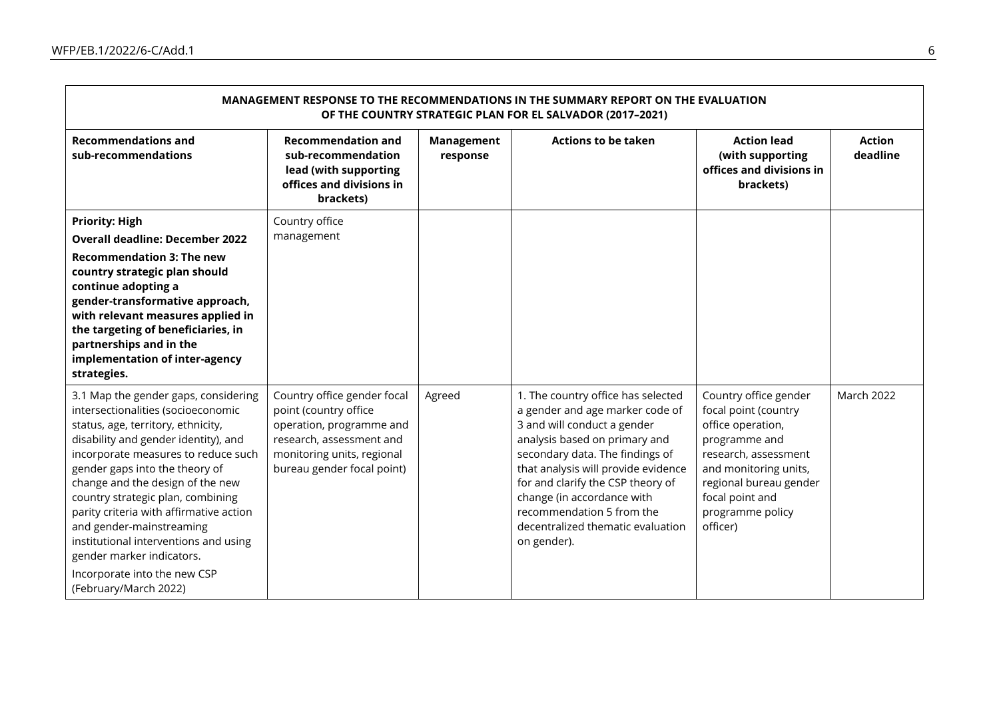| MANAGEMENT RESPONSE TO THE RECOMMENDATIONS IN THE SUMMARY REPORT ON THE EVALUATION<br>OF THE COUNTRY STRATEGIC PLAN FOR EL SALVADOR (2017-2021)                                                                                                                                                                                                                                                                                                                                                                  |                                                                                                                                                                          |                               |                                                                                                                                                                                                                                                                                                                                                                     |                                                                                                                                                                                                                   |                           |  |  |  |
|------------------------------------------------------------------------------------------------------------------------------------------------------------------------------------------------------------------------------------------------------------------------------------------------------------------------------------------------------------------------------------------------------------------------------------------------------------------------------------------------------------------|--------------------------------------------------------------------------------------------------------------------------------------------------------------------------|-------------------------------|---------------------------------------------------------------------------------------------------------------------------------------------------------------------------------------------------------------------------------------------------------------------------------------------------------------------------------------------------------------------|-------------------------------------------------------------------------------------------------------------------------------------------------------------------------------------------------------------------|---------------------------|--|--|--|
| <b>Recommendations and</b><br>sub-recommendations                                                                                                                                                                                                                                                                                                                                                                                                                                                                | <b>Recommendation and</b><br>sub-recommendation<br>lead (with supporting<br>offices and divisions in<br>brackets)                                                        | <b>Management</b><br>response | <b>Actions to be taken</b>                                                                                                                                                                                                                                                                                                                                          | <b>Action lead</b><br>(with supporting<br>offices and divisions in<br>brackets)                                                                                                                                   | <b>Action</b><br>deadline |  |  |  |
| <b>Priority: High</b><br><b>Overall deadline: December 2022</b><br><b>Recommendation 3: The new</b><br>country strategic plan should<br>continue adopting a<br>gender-transformative approach,<br>with relevant measures applied in<br>the targeting of beneficiaries, in<br>partnerships and in the<br>implementation of inter-agency<br>strategies.                                                                                                                                                            | Country office<br>management                                                                                                                                             |                               |                                                                                                                                                                                                                                                                                                                                                                     |                                                                                                                                                                                                                   |                           |  |  |  |
| 3.1 Map the gender gaps, considering<br>intersectionalities (socioeconomic<br>status, age, territory, ethnicity,<br>disability and gender identity), and<br>incorporate measures to reduce such<br>gender gaps into the theory of<br>change and the design of the new<br>country strategic plan, combining<br>parity criteria with affirmative action<br>and gender-mainstreaming<br>institutional interventions and using<br>gender marker indicators.<br>Incorporate into the new CSP<br>(February/March 2022) | Country office gender focal<br>point (country office<br>operation, programme and<br>research, assessment and<br>monitoring units, regional<br>bureau gender focal point) | Agreed                        | 1. The country office has selected<br>a gender and age marker code of<br>3 and will conduct a gender<br>analysis based on primary and<br>secondary data. The findings of<br>that analysis will provide evidence<br>for and clarify the CSP theory of<br>change (in accordance with<br>recommendation 5 from the<br>decentralized thematic evaluation<br>on gender). | Country office gender<br>focal point (country<br>office operation,<br>programme and<br>research, assessment<br>and monitoring units,<br>regional bureau gender<br>focal point and<br>programme policy<br>officer) | <b>March 2022</b>         |  |  |  |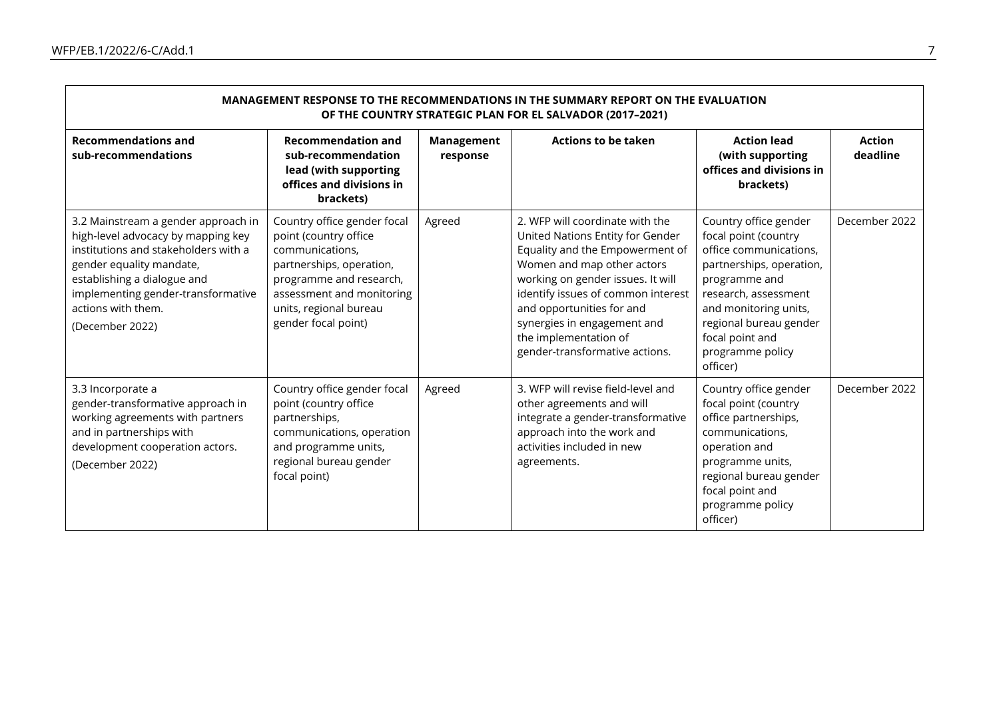| MANAGEMENT RESPONSE TO THE RECOMMENDATIONS IN THE SUMMARY REPORT ON THE EVALUATION<br>OF THE COUNTRY STRATEGIC PLAN FOR EL SALVADOR (2017-2021)                                                                                                             |                                                                                                                                                                                                              |                               |                                                                                                                                                                                                                                                                                                                                        |                                                                                                                                                                                                                                                    |                           |  |  |  |
|-------------------------------------------------------------------------------------------------------------------------------------------------------------------------------------------------------------------------------------------------------------|--------------------------------------------------------------------------------------------------------------------------------------------------------------------------------------------------------------|-------------------------------|----------------------------------------------------------------------------------------------------------------------------------------------------------------------------------------------------------------------------------------------------------------------------------------------------------------------------------------|----------------------------------------------------------------------------------------------------------------------------------------------------------------------------------------------------------------------------------------------------|---------------------------|--|--|--|
| <b>Recommendations and</b><br>sub-recommendations                                                                                                                                                                                                           | <b>Recommendation and</b><br>sub-recommendation<br>lead (with supporting<br>offices and divisions in<br>brackets)                                                                                            | <b>Management</b><br>response | <b>Actions to be taken</b>                                                                                                                                                                                                                                                                                                             | <b>Action lead</b><br>(with supporting<br>offices and divisions in<br>brackets)                                                                                                                                                                    | <b>Action</b><br>deadline |  |  |  |
| 3.2 Mainstream a gender approach in<br>high-level advocacy by mapping key<br>institutions and stakeholders with a<br>gender equality mandate,<br>establishing a dialogue and<br>implementing gender-transformative<br>actions with them.<br>(December 2022) | Country office gender focal<br>point (country office<br>communications,<br>partnerships, operation,<br>programme and research,<br>assessment and monitoring<br>units, regional bureau<br>gender focal point) | Agreed                        | 2. WFP will coordinate with the<br>United Nations Entity for Gender<br>Equality and the Empowerment of<br>Women and map other actors<br>working on gender issues. It will<br>identify issues of common interest<br>and opportunities for and<br>synergies in engagement and<br>the implementation of<br>gender-transformative actions. | Country office gender<br>focal point (country<br>office communications,<br>partnerships, operation,<br>programme and<br>research, assessment<br>and monitoring units,<br>regional bureau gender<br>focal point and<br>programme policy<br>officer) | December 2022             |  |  |  |
| 3.3 Incorporate a<br>gender-transformative approach in<br>working agreements with partners<br>and in partnerships with<br>development cooperation actors.<br>(December 2022)                                                                                | Country office gender focal<br>point (country office<br>partnerships,<br>communications, operation<br>and programme units,<br>regional bureau gender<br>focal point)                                         | Agreed                        | 3. WFP will revise field-level and<br>other agreements and will<br>integrate a gender-transformative<br>approach into the work and<br>activities included in new<br>agreements.                                                                                                                                                        | Country office gender<br>focal point (country<br>office partnerships,<br>communications,<br>operation and<br>programme units,<br>regional bureau gender<br>focal point and<br>programme policy<br>officer)                                         | December 2022             |  |  |  |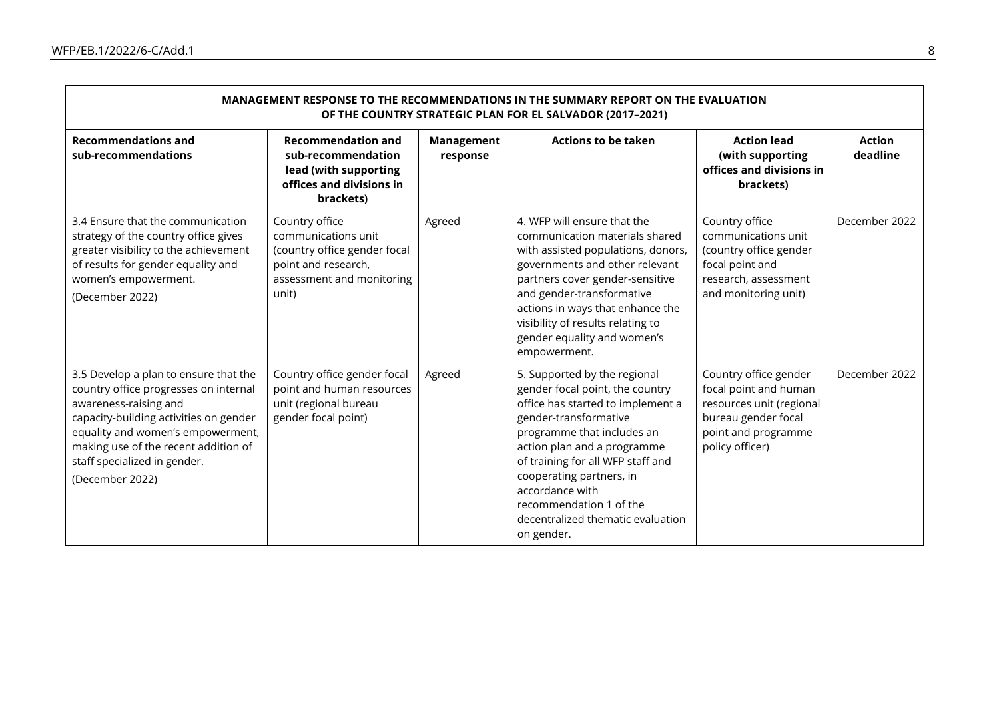| MANAGEMENT RESPONSE TO THE RECOMMENDATIONS IN THE SUMMARY REPORT ON THE EVALUATION<br>OF THE COUNTRY STRATEGIC PLAN FOR EL SALVADOR (2017-2021)                                                                                                                                   |                                                                                                                                    |                               |                                                                                                                                                                                                                                                                                                                                                              |                                                                                                                                             |                           |  |  |  |
|-----------------------------------------------------------------------------------------------------------------------------------------------------------------------------------------------------------------------------------------------------------------------------------|------------------------------------------------------------------------------------------------------------------------------------|-------------------------------|--------------------------------------------------------------------------------------------------------------------------------------------------------------------------------------------------------------------------------------------------------------------------------------------------------------------------------------------------------------|---------------------------------------------------------------------------------------------------------------------------------------------|---------------------------|--|--|--|
| <b>Recommendations and</b><br>sub-recommendations                                                                                                                                                                                                                                 | <b>Recommendation and</b><br>sub-recommendation<br>lead (with supporting<br>offices and divisions in<br>brackets)                  | <b>Management</b><br>response | <b>Actions to be taken</b>                                                                                                                                                                                                                                                                                                                                   | <b>Action lead</b><br>(with supporting<br>offices and divisions in<br>brackets)                                                             | <b>Action</b><br>deadline |  |  |  |
| 3.4 Ensure that the communication<br>strategy of the country office gives<br>greater visibility to the achievement<br>of results for gender equality and<br>women's empowerment.<br>(December 2022)                                                                               | Country office<br>communications unit<br>(country office gender focal<br>point and research,<br>assessment and monitoring<br>unit) | Agreed                        | 4. WFP will ensure that the<br>communication materials shared<br>with assisted populations, donors,<br>governments and other relevant<br>partners cover gender-sensitive<br>and gender-transformative<br>actions in ways that enhance the<br>visibility of results relating to<br>gender equality and women's<br>empowerment.                                | Country office<br>communications unit<br>(country office gender<br>focal point and<br>research, assessment<br>and monitoring unit)          | December 2022             |  |  |  |
| 3.5 Develop a plan to ensure that the<br>country office progresses on internal<br>awareness-raising and<br>capacity-building activities on gender<br>equality and women's empowerment,<br>making use of the recent addition of<br>staff specialized in gender.<br>(December 2022) | Country office gender focal<br>point and human resources<br>unit (regional bureau<br>gender focal point)                           | Agreed                        | 5. Supported by the regional<br>gender focal point, the country<br>office has started to implement a<br>gender-transformative<br>programme that includes an<br>action plan and a programme<br>of training for all WFP staff and<br>cooperating partners, in<br>accordance with<br>recommendation 1 of the<br>decentralized thematic evaluation<br>on gender. | Country office gender<br>focal point and human<br>resources unit (regional<br>bureau gender focal<br>point and programme<br>policy officer) | December 2022             |  |  |  |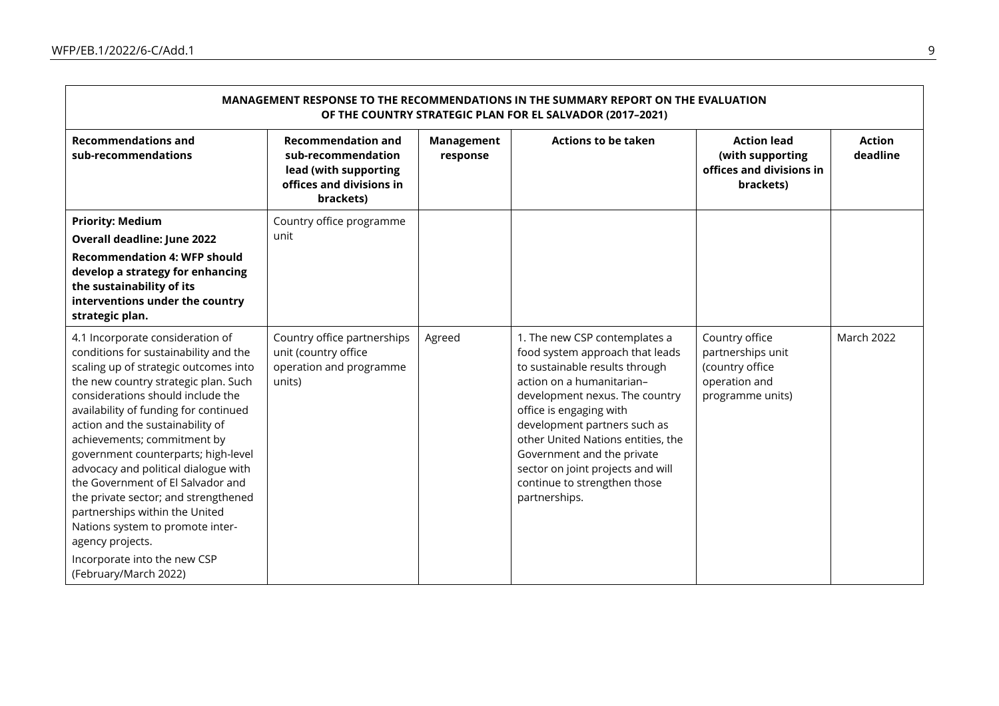| MANAGEMENT RESPONSE TO THE RECOMMENDATIONS IN THE SUMMARY REPORT ON THE EVALUATION<br>OF THE COUNTRY STRATEGIC PLAN FOR EL SALVADOR (2017-2021)                                                                                                                                                                                                                                                                                                                                                                                                                                                                            |                                                                                                                   |                        |                                                                                                                                                                                                                                                                                                                                                                                        |                                                                                             |                           |  |  |  |
|----------------------------------------------------------------------------------------------------------------------------------------------------------------------------------------------------------------------------------------------------------------------------------------------------------------------------------------------------------------------------------------------------------------------------------------------------------------------------------------------------------------------------------------------------------------------------------------------------------------------------|-------------------------------------------------------------------------------------------------------------------|------------------------|----------------------------------------------------------------------------------------------------------------------------------------------------------------------------------------------------------------------------------------------------------------------------------------------------------------------------------------------------------------------------------------|---------------------------------------------------------------------------------------------|---------------------------|--|--|--|
| <b>Recommendations and</b><br>sub-recommendations                                                                                                                                                                                                                                                                                                                                                                                                                                                                                                                                                                          | <b>Recommendation and</b><br>sub-recommendation<br>lead (with supporting<br>offices and divisions in<br>brackets) | Management<br>response | <b>Actions to be taken</b>                                                                                                                                                                                                                                                                                                                                                             | <b>Action lead</b><br>(with supporting<br>offices and divisions in<br>brackets)             | <b>Action</b><br>deadline |  |  |  |
| <b>Priority: Medium</b>                                                                                                                                                                                                                                                                                                                                                                                                                                                                                                                                                                                                    | Country office programme                                                                                          |                        |                                                                                                                                                                                                                                                                                                                                                                                        |                                                                                             |                           |  |  |  |
| <b>Overall deadline: June 2022</b>                                                                                                                                                                                                                                                                                                                                                                                                                                                                                                                                                                                         | unit                                                                                                              |                        |                                                                                                                                                                                                                                                                                                                                                                                        |                                                                                             |                           |  |  |  |
| <b>Recommendation 4: WFP should</b><br>develop a strategy for enhancing<br>the sustainability of its<br>interventions under the country<br>strategic plan.                                                                                                                                                                                                                                                                                                                                                                                                                                                                 |                                                                                                                   |                        |                                                                                                                                                                                                                                                                                                                                                                                        |                                                                                             |                           |  |  |  |
| 4.1 Incorporate consideration of<br>conditions for sustainability and the<br>scaling up of strategic outcomes into<br>the new country strategic plan. Such<br>considerations should include the<br>availability of funding for continued<br>action and the sustainability of<br>achievements; commitment by<br>government counterparts; high-level<br>advocacy and political dialogue with<br>the Government of El Salvador and<br>the private sector; and strengthened<br>partnerships within the United<br>Nations system to promote inter-<br>agency projects.<br>Incorporate into the new CSP<br>(February/March 2022) | Country office partnerships<br>unit (country office<br>operation and programme<br>units)                          | Agreed                 | 1. The new CSP contemplates a<br>food system approach that leads<br>to sustainable results through<br>action on a humanitarian-<br>development nexus. The country<br>office is engaging with<br>development partners such as<br>other United Nations entities, the<br>Government and the private<br>sector on joint projects and will<br>continue to strengthen those<br>partnerships. | Country office<br>partnerships unit<br>(country office<br>operation and<br>programme units) | <b>March 2022</b>         |  |  |  |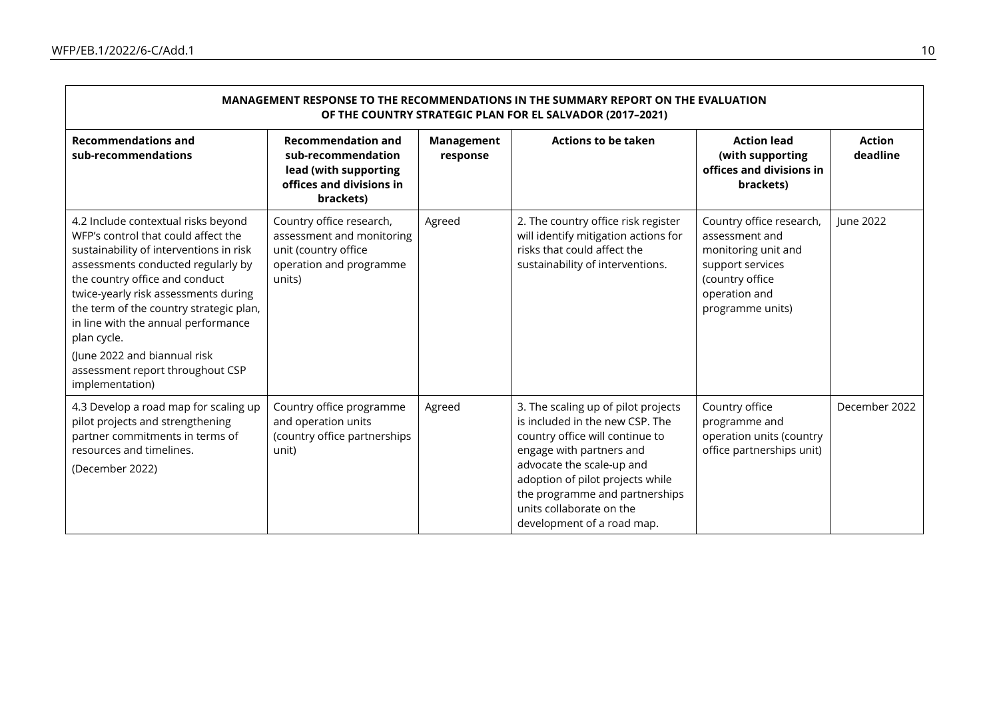| MANAGEMENT RESPONSE TO THE RECOMMENDATIONS IN THE SUMMARY REPORT ON THE EVALUATION<br>OF THE COUNTRY STRATEGIC PLAN FOR EL SALVADOR (2017-2021)                                                                                                                                                                                                                                                                               |                                                                                                                    |                        |                                                                                                                                                                                                                                                                                                    |                                                                                                                                               |                           |  |  |  |
|-------------------------------------------------------------------------------------------------------------------------------------------------------------------------------------------------------------------------------------------------------------------------------------------------------------------------------------------------------------------------------------------------------------------------------|--------------------------------------------------------------------------------------------------------------------|------------------------|----------------------------------------------------------------------------------------------------------------------------------------------------------------------------------------------------------------------------------------------------------------------------------------------------|-----------------------------------------------------------------------------------------------------------------------------------------------|---------------------------|--|--|--|
| <b>Recommendations and</b><br>sub-recommendations                                                                                                                                                                                                                                                                                                                                                                             | <b>Recommendation and</b><br>sub-recommendation<br>lead (with supporting<br>offices and divisions in<br>brackets)  | Management<br>response | <b>Actions to be taken</b>                                                                                                                                                                                                                                                                         | <b>Action lead</b><br>(with supporting<br>offices and divisions in<br>brackets)                                                               | <b>Action</b><br>deadline |  |  |  |
| 4.2 Include contextual risks beyond<br>WFP's control that could affect the<br>sustainability of interventions in risk<br>assessments conducted regularly by<br>the country office and conduct<br>twice-yearly risk assessments during<br>the term of the country strategic plan,<br>in line with the annual performance<br>plan cycle.<br>(June 2022 and biannual risk<br>assessment report throughout CSP<br>implementation) | Country office research,<br>assessment and monitoring<br>unit (country office<br>operation and programme<br>units) | Agreed                 | 2. The country office risk register<br>will identify mitigation actions for<br>risks that could affect the<br>sustainability of interventions.                                                                                                                                                     | Country office research,<br>assessment and<br>monitoring unit and<br>support services<br>(country office<br>operation and<br>programme units) | June 2022                 |  |  |  |
| 4.3 Develop a road map for scaling up<br>pilot projects and strengthening<br>partner commitments in terms of<br>resources and timelines.<br>(December 2022)                                                                                                                                                                                                                                                                   | Country office programme<br>and operation units<br>(country office partnerships<br>unit)                           | Agreed                 | 3. The scaling up of pilot projects<br>is included in the new CSP. The<br>country office will continue to<br>engage with partners and<br>advocate the scale-up and<br>adoption of pilot projects while<br>the programme and partnerships<br>units collaborate on the<br>development of a road map. | Country office<br>programme and<br>operation units (country<br>office partnerships unit)                                                      | December 2022             |  |  |  |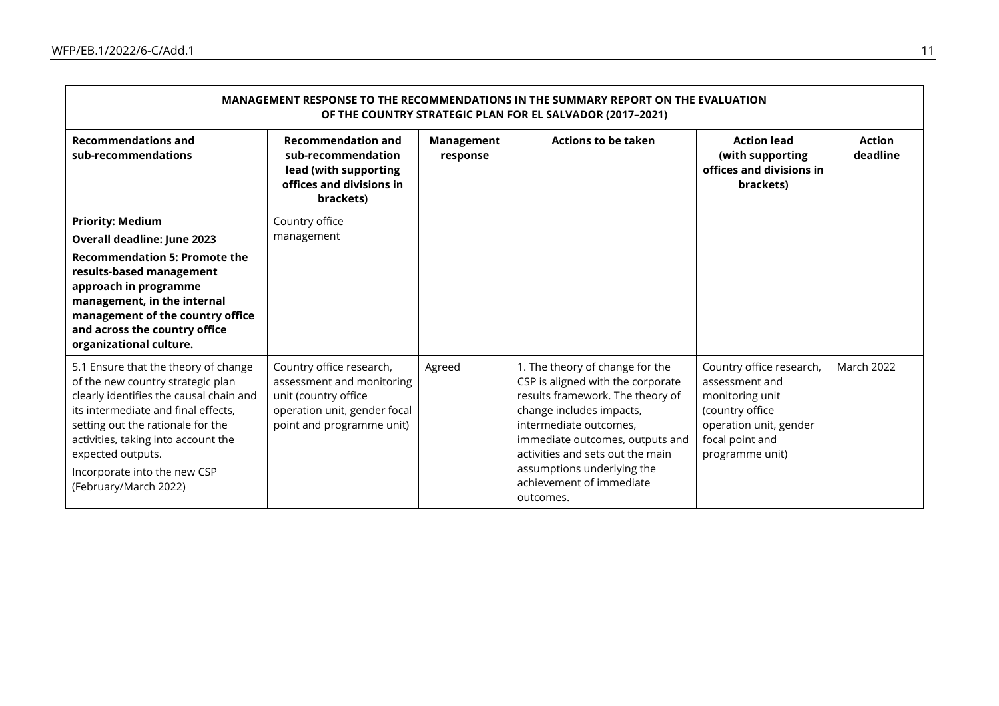| MANAGEMENT RESPONSE TO THE RECOMMENDATIONS IN THE SUMMARY REPORT ON THE EVALUATION<br>OF THE COUNTRY STRATEGIC PLAN FOR EL SALVADOR (2017-2021)                                                                                                                                                                       |                                                                                                                                            |                               |                                                                                                                                                                                                                                                                                                              |                                                                                                                                                  |                           |  |  |  |
|-----------------------------------------------------------------------------------------------------------------------------------------------------------------------------------------------------------------------------------------------------------------------------------------------------------------------|--------------------------------------------------------------------------------------------------------------------------------------------|-------------------------------|--------------------------------------------------------------------------------------------------------------------------------------------------------------------------------------------------------------------------------------------------------------------------------------------------------------|--------------------------------------------------------------------------------------------------------------------------------------------------|---------------------------|--|--|--|
| <b>Recommendations and</b><br>sub-recommendations                                                                                                                                                                                                                                                                     | <b>Recommendation and</b><br>sub-recommendation<br>lead (with supporting<br>offices and divisions in<br>brackets)                          | <b>Management</b><br>response | <b>Actions to be taken</b>                                                                                                                                                                                                                                                                                   | <b>Action lead</b><br>(with supporting<br>offices and divisions in<br>brackets)                                                                  | <b>Action</b><br>deadline |  |  |  |
| <b>Priority: Medium</b><br>Overall deadline: June 2023<br><b>Recommendation 5: Promote the</b><br>results-based management<br>approach in programme<br>management, in the internal<br>management of the country office<br>and across the country office<br>organizational culture.                                    | Country office<br>management                                                                                                               |                               |                                                                                                                                                                                                                                                                                                              |                                                                                                                                                  |                           |  |  |  |
| 5.1 Ensure that the theory of change<br>of the new country strategic plan<br>clearly identifies the causal chain and<br>its intermediate and final effects,<br>setting out the rationale for the<br>activities, taking into account the<br>expected outputs.<br>Incorporate into the new CSP<br>(February/March 2022) | Country office research,<br>assessment and monitoring<br>unit (country office<br>operation unit, gender focal<br>point and programme unit) | Agreed                        | 1. The theory of change for the<br>CSP is aligned with the corporate<br>results framework. The theory of<br>change includes impacts,<br>intermediate outcomes,<br>immediate outcomes, outputs and<br>activities and sets out the main<br>assumptions underlying the<br>achievement of immediate<br>outcomes. | Country office research,<br>assessment and<br>monitoring unit<br>(country office<br>operation unit, gender<br>focal point and<br>programme unit) | <b>March 2022</b>         |  |  |  |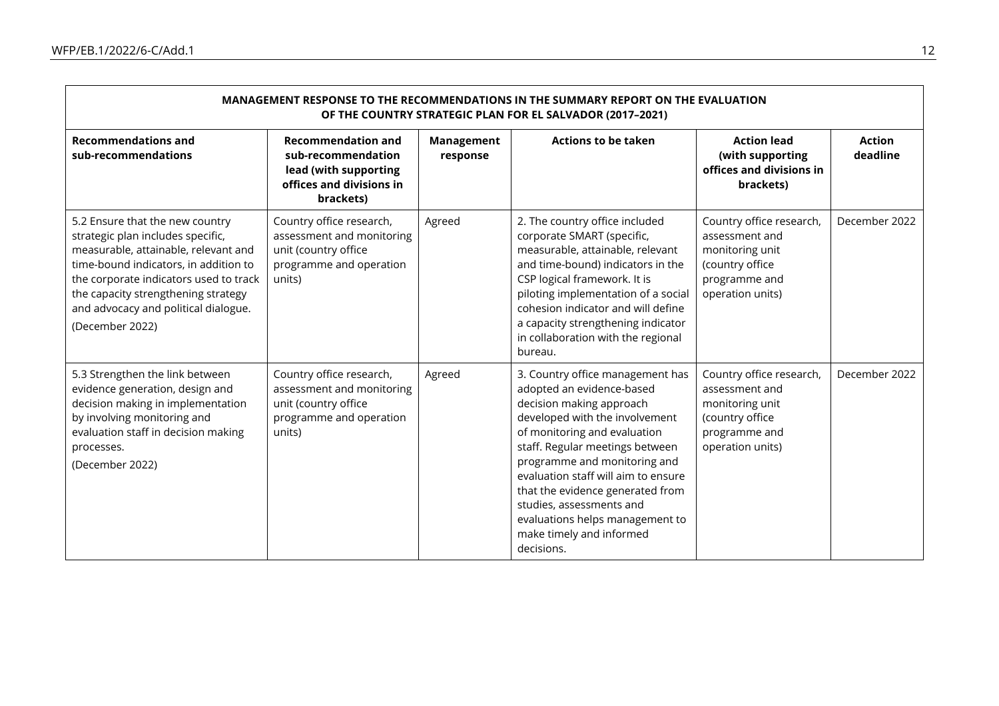| MANAGEMENT RESPONSE TO THE RECOMMENDATIONS IN THE SUMMARY REPORT ON THE EVALUATION<br>OF THE COUNTRY STRATEGIC PLAN FOR EL SALVADOR (2017-2021)                                                                                                                                                   |                                                                                                                    |                               |                                                                                                                                                                                                                                                                                                                                                                                                                    |                                                                                                                       |                           |  |  |  |
|---------------------------------------------------------------------------------------------------------------------------------------------------------------------------------------------------------------------------------------------------------------------------------------------------|--------------------------------------------------------------------------------------------------------------------|-------------------------------|--------------------------------------------------------------------------------------------------------------------------------------------------------------------------------------------------------------------------------------------------------------------------------------------------------------------------------------------------------------------------------------------------------------------|-----------------------------------------------------------------------------------------------------------------------|---------------------------|--|--|--|
| <b>Recommendations and</b><br>sub-recommendations                                                                                                                                                                                                                                                 | <b>Recommendation and</b><br>sub-recommendation<br>lead (with supporting<br>offices and divisions in<br>brackets)  | <b>Management</b><br>response | <b>Actions to be taken</b>                                                                                                                                                                                                                                                                                                                                                                                         | <b>Action lead</b><br>(with supporting<br>offices and divisions in<br>brackets)                                       | <b>Action</b><br>deadline |  |  |  |
| 5.2 Ensure that the new country<br>strategic plan includes specific,<br>measurable, attainable, relevant and<br>time-bound indicators, in addition to<br>the corporate indicators used to track<br>the capacity strengthening strategy<br>and advocacy and political dialogue.<br>(December 2022) | Country office research,<br>assessment and monitoring<br>unit (country office<br>programme and operation<br>units) | Agreed                        | 2. The country office included<br>corporate SMART (specific,<br>measurable, attainable, relevant<br>and time-bound) indicators in the<br>CSP logical framework. It is<br>piloting implementation of a social<br>cohesion indicator and will define<br>a capacity strengthening indicator<br>in collaboration with the regional<br>bureau.                                                                          | Country office research,<br>assessment and<br>monitoring unit<br>(country office<br>programme and<br>operation units) | December 2022             |  |  |  |
| 5.3 Strengthen the link between<br>evidence generation, design and<br>decision making in implementation<br>by involving monitoring and<br>evaluation staff in decision making<br>processes.<br>(December 2022)                                                                                    | Country office research,<br>assessment and monitoring<br>unit (country office<br>programme and operation<br>units) | Agreed                        | 3. Country office management has<br>adopted an evidence-based<br>decision making approach<br>developed with the involvement<br>of monitoring and evaluation<br>staff. Regular meetings between<br>programme and monitoring and<br>evaluation staff will aim to ensure<br>that the evidence generated from<br>studies, assessments and<br>evaluations helps management to<br>make timely and informed<br>decisions. | Country office research,<br>assessment and<br>monitoring unit<br>(country office<br>programme and<br>operation units) | December 2022             |  |  |  |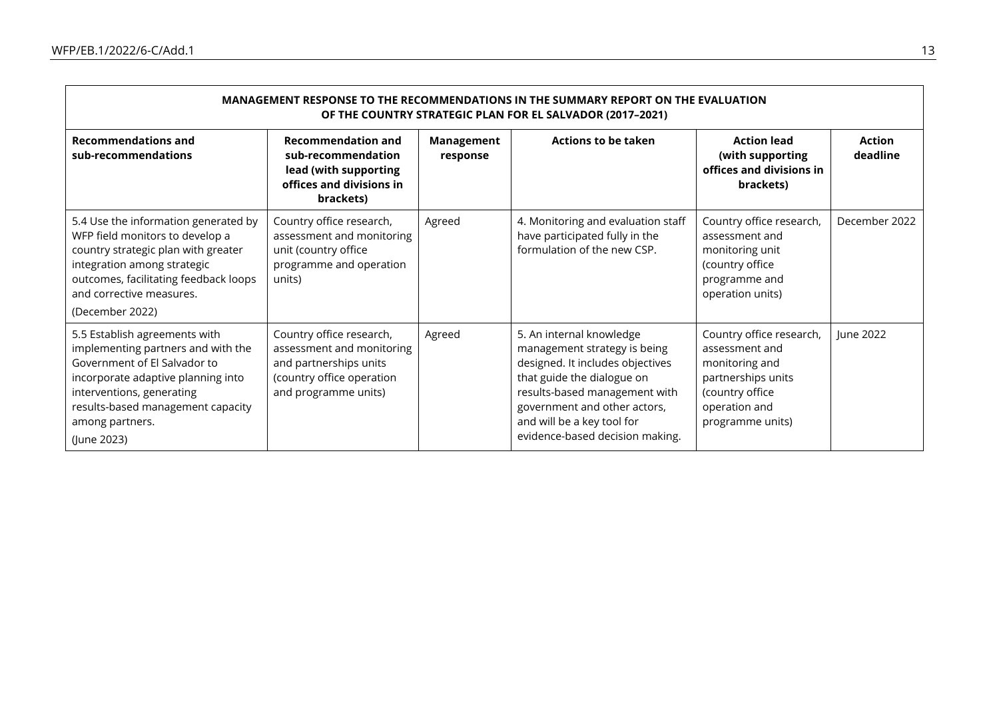$\blacksquare$ 

| MANAGEMENT RESPONSE TO THE RECOMMENDATIONS IN THE SUMMARY REPORT ON THE EVALUATION<br>OF THE COUNTRY STRATEGIC PLAN FOR EL SALVADOR (2017-2021)                                                                                               |                                                                                                                                      |                        |                                                                                                                                                                                                                                                              |                                                                                                                                            |                           |  |  |  |
|-----------------------------------------------------------------------------------------------------------------------------------------------------------------------------------------------------------------------------------------------|--------------------------------------------------------------------------------------------------------------------------------------|------------------------|--------------------------------------------------------------------------------------------------------------------------------------------------------------------------------------------------------------------------------------------------------------|--------------------------------------------------------------------------------------------------------------------------------------------|---------------------------|--|--|--|
| <b>Recommendations and</b><br>sub-recommendations                                                                                                                                                                                             | <b>Recommendation and</b><br>sub-recommendation<br>lead (with supporting<br>offices and divisions in<br>brackets)                    | Management<br>response | <b>Actions to be taken</b>                                                                                                                                                                                                                                   | <b>Action lead</b><br>(with supporting<br>offices and divisions in<br>brackets)                                                            | <b>Action</b><br>deadline |  |  |  |
| 5.4 Use the information generated by<br>WFP field monitors to develop a<br>country strategic plan with greater<br>integration among strategic<br>outcomes, facilitating feedback loops<br>and corrective measures.<br>(December 2022)         | Country office research,<br>assessment and monitoring<br>unit (country office<br>programme and operation<br>units)                   | Agreed                 | 4. Monitoring and evaluation staff<br>have participated fully in the<br>formulation of the new CSP.                                                                                                                                                          | Country office research,<br>assessment and<br>monitoring unit<br>(country office<br>programme and<br>operation units)                      | December 2022             |  |  |  |
| 5.5 Establish agreements with<br>implementing partners and with the<br>Government of El Salvador to<br>incorporate adaptive planning into<br>interventions, generating<br>results-based management capacity<br>among partners.<br>(June 2023) | Country office research,<br>assessment and monitoring<br>and partnerships units<br>(country office operation<br>and programme units) | Agreed                 | 5. An internal knowledge<br>management strategy is being<br>designed. It includes objectives<br>that guide the dialogue on<br>results-based management with<br>government and other actors,<br>and will be a key tool for<br>evidence-based decision making. | Country office research,<br>assessment and<br>monitoring and<br>partnerships units<br>(country office<br>operation and<br>programme units) | June 2022                 |  |  |  |